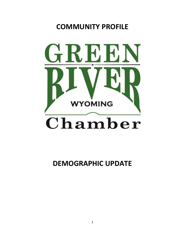# **COMMUNITY PROFILE**



**DEMOGRAPHIC UPDATE**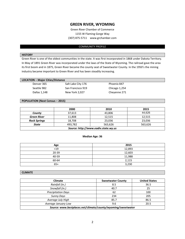# **GREEN RIVER, WYOMING**

Green River Chamber of Commerce 1155 W Flaming Gorge Way (307) 875-5711 www.grchamber.com

## COMMUNITY PROFILE

## **HISTORY**

Green River is one of the oldest communities in the state. It was first incorporated in 1868 under Dakota Territory. In May of 1891 Green River was incorporated under the laws of the State of Wyoming. The railroad gave the area its first boom and in 1875, Green River became the county seat of Sweetwater County. In the 1950's the mining industry became important to Green River and has been steadily increasing.

| $\cdots$ $\cdots$ |                    |               |
|-------------------|--------------------|---------------|
| Denver 365        | Salt Lake City 176 | Phoenix 847   |
| Seattle 982       | San Francisco 919  | Chicago 1,254 |
| Dallas 1,148      | New York 2.027     | Chevenne 271  |

## **POPULATION (Next Census – 2015)**

|                                      | 2000    | 2010    | 2015    |
|--------------------------------------|---------|---------|---------|
| County                               | 37,613  | 43.806  | 44,626  |
| <b>Green River</b>                   | 11,808  | 12,515  | 12,515  |
| <b>Rock Springs</b>                  | 18,708  | 23,036  | 23,036  |
| <b>State</b>                         | 493,782 | 563.626 | 563,626 |
| Source: http://www.eadiv.state.wy.us |         |         |         |

## **Median Age: 36**

| Age       | 2015   |
|-----------|--------|
| $19$      | 12,893 |
| $20 - 39$ | 12,603 |
| 40-59     | 11,988 |
| 60-64     | 2,115  |
| $65+$     | 3,230  |

## **CLIMATE**

| <b>Climate</b>                                               | <b>Sweetwater County</b> | <b>United States</b> |
|--------------------------------------------------------------|--------------------------|----------------------|
| Rainfall (in.)                                               | 8.5                      | 36.5                 |
| Snowfall (in.)                                               | 40.7                     | 25                   |
| <b>Precipitation Days</b>                                    | 62                       | 100                  |
| <b>Sunny Days</b>                                            | 234                      | 205                  |
| Average July High                                            | 85.7                     | 86.5                 |
| Average January Low                                          | 9.6                      | 20.5                 |
| Source: www.bestplaces.net/climate/county/wyoming/sweetwater |                          |                      |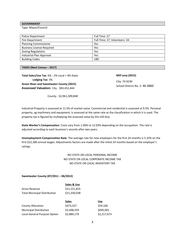# **GOVERNMENT**

Type: Mayor/Council

| Police Department                | Full Time: 27                 |
|----------------------------------|-------------------------------|
| Fire Department                  | Full Time: 27, Volunteers: 34 |
| <b>Planning Commissioner</b>     | Yes                           |
| <b>Business License Required</b> | Yes                           |
| <b>Zoning Regulations</b>        | Yes                           |
| Industrial Plan Approval         | Yes                           |
| <b>Building Codes</b>            | <b>UBC</b>                    |

#### **TAXES (Next Census – 2017)**

**Total Sales/Use Tax**: 6% - 2% Local + 4% State **Lodging Tax**: 3% **Green River and Sweetwater County (2015) Assessed Valuation:** City - \$83,452,444

**Mill Levy (2015)**

City: 74.9230 School District No. 2: 46.3860

County - \$2,961,509,848

Industrial Property is assessed at 11.5% of market value. Commercial and residential is assessed at 9.5%. Personal property, ag machinery and equipment, is assessed at the same rate as the classification in which it is used. The property tax is figured by multiplying the assessed value by the mill levy.

**State Worker's Compensation**: Costs vary from 1.00% to 12.03% depending on the occupation. The rate is adjusted according to each business's records after two years.

**Unemployment Compensation Rate**: The average rate for new employers for the first 24 months is 5.33% on the first \$22,300 annual wages. Adjustments factors are made after the initial 24 months based on the employer's ratings.

# NO STATE OR LOCAL PERSONAL INCOME NO STATE OR LOCAL CORPORATE INCOME TAX NO STATE OR LOCAL INVENTORY TAX

## **Sweetwater County (07/2011 – 06/2012)**

|                                     | Sales & Use  |             |
|-------------------------------------|--------------|-------------|
| <b>Gross Revenue</b>                | \$31,221,825 |             |
| <b>Total Municipal Distribution</b> | \$21,330,038 |             |
|                                     | <b>Sales</b> | <b>Use</b>  |
| <b>County Allocation</b>            | \$473,327    | \$59,106    |
| <b>Municipal Distribution</b>       | \$3,498,359  | \$695,001   |
| Local General Purpose Option        | \$2,884,179  | \$2,217,673 |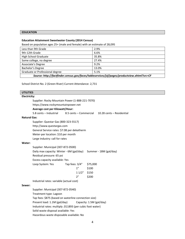## **EDUCATION**

## **Education Attainment Sweetwater County (2014 Census)**

Based on population ages 25+ (male and female) with an estimate of 28,095

| Less than 9th Grade                                                                         | 2.9%  |  |
|---------------------------------------------------------------------------------------------|-------|--|
| 9th-12th Grade                                                                              | 6.6%  |  |
| High School Graduate                                                                        | 35.8% |  |
| Some college, no degree                                                                     | 27.4% |  |
| Associate's Degree                                                                          | 9.2%  |  |
| Bachelor's Degree                                                                           | 13.0% |  |
| Graduate or Professional degree                                                             | 5.1%  |  |
| Source: http://factfinder.census.gov/faces/tableservices/jsf/pages/productview.xhtml?src=CF |       |  |

School District No. 2 (Green River) Current Attendance: 2,731

# **UTILITIES**

# **Electricity:**

Supplier: Rocky Mountain Power (1-888-221-7070) https://www.rockymountainpower.net **Average cost per Kilowatt/Hour:** 5.8 cents – Industrial 8.5 cents – Commercial 10.28 cents – Residential **Natural Gas**: Supplier: Questar Gas (800-323-5517) http://www.questargas.com General Service rates: \$7.08 per dekatherm Meter-per location: \$10 per month Large industry: call for rates **Water:** Supplier: Municipal (307-872-0500) Daily max capacity: Winter - 6M (gal/day) Summer - 18M (gal/day) Residual pressure: 65 psi Excess capacity available: Yes Loop System: Yes Tap fees: 3/4" \$75,000 1" \$100 1 1/2" \$150 2" \$200 Industrial rates: variable (actual cost) **Sewer:** Supplier: Municipal (307-872-0540) Treatment type: Lagoon Tap fees: \$875 (based on waterline connection size) Present load: 1.1M (gal/day) Capacity: 1.5M (gal/day) Industrial rates: multiply .011893 (per cubic foot water) Solid waste disposal available: Yes Hazardous waste disposable available: No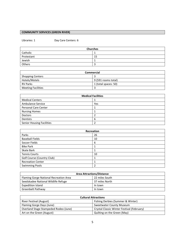# **COMMUNITY SERVICES (GREEN RIVER)**

Libraries: 1 Day Care Centers: 6

| <b>Churches</b> |    |  |
|-----------------|----|--|
| Catholic        |    |  |
| Protestant      | 15 |  |
| Jewish          |    |  |
| Others          | -  |  |

| Commercial                |                      |
|---------------------------|----------------------|
| <b>Shopping Centers</b>   |                      |
| Hotels/Motels             | 9 (591 rooms total)  |
| <b>RV Parks</b>           | 1 (total spaces: 50) |
| <b>Meeting Facilities</b> |                      |

| <b>Medical Facilities</b>        |     |  |
|----------------------------------|-----|--|
| <b>Medical Centers</b>           |     |  |
| Ambulance Service                | Yes |  |
| <b>Personal Care Center</b>      |     |  |
| <b>Nursing Homes</b>             |     |  |
| <b>Doctors</b>                   |     |  |
| Dentists                         | 6   |  |
| <b>Senior Housing Facilities</b> |     |  |

| Recreation                 |    |  |
|----------------------------|----|--|
| Parks                      | 26 |  |
| <b>Baseball Fields</b>     | 10 |  |
| Soccer Fields              | 6  |  |
| <b>Bike Park</b>           |    |  |
| Skate Bark                 |    |  |
| <b>Tennis Courts</b>       | 10 |  |
| Golf Course (Country Club) |    |  |
| <b>Recreation Center</b>   |    |  |
| <b>Swimming Pools</b>      | ำ  |  |

| <b>Area Attractions/Distance</b>       |                |  |
|----------------------------------------|----------------|--|
| Flaming Gorge National Recreation Area | 22 miles South |  |
| Seedskadee National Wildlife Refuge    | 37 miles North |  |
| <b>Expedition Island</b>               | In town        |  |
| Greenbelt Pathway                      | In town        |  |

| <b>Cultural Attractions</b>           |                                            |  |
|---------------------------------------|--------------------------------------------|--|
| River Festival (August)               | Fishing Derbies (Summer & Winter)          |  |
| Flaming Gorge Days (June)             | Sweetwater County Museum                   |  |
| Overland Stage Stampeded Rodeo (June) | Crystal Classic Winter Festival (February) |  |
| Art on the Green (August)             | Quilting on the Green (May)                |  |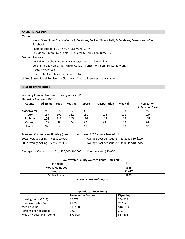# **COMMUNICATIONS**

## **Media:**

News: Green River Star – Weekly & Facebook; Rocket Miner – Daily & Facebook; SweetwaterNOW Facebook

Radio Reception: KUGR AM, KYCS FM, KFRZ FM

Television: Green River Cable, Dish Satellite Television, Direct TV

## **Communications:**

Available Telephone Company: Qwest/Century Link (Landline)

Cellular Phone Companies: Union Cellular, Verizon Wireless, Strata Networks

Digital Switch: Yes

Fiber Optic Availability: In the near future

**United States Postal Service**: 1st Class, overnight mail services are available.

## **COST OF LIVING INDEX**

Wyoming Comparative Cost of Living Index 2Q15

Statewide Average = 100

| County          | All Items | Food | <b>Housing</b> | Apparel | Transportation | <b>Medical</b> | <b>Recreation</b><br>& Personal Care |
|-----------------|-----------|------|----------------|---------|----------------|----------------|--------------------------------------|
| Sweetwater      | 99        | 98   | 99             | 88      | 101            | 103            | 99                                   |
| Teton           | 135       | 109  | 162            | 131     | 106            | 101            | 109                                  |
| <b>Sublette</b> | 105       | 111  | 103            | 114     | 103            | 103            | 108                                  |
| Carbon          | 103       | 98   | 104            | 96      | 99             | 116            | 98                                   |
| Uinta           | 92        | 92   | 86             | 92      | 101            | 113            | 93                                   |

**Price and Cost for New Housing (based on new house, 1200 square feet with lot)**

| 2012 Average Selling Price: \$110,000 | Average Cost per square ft. to build \$80-\$100  |
|---------------------------------------|--------------------------------------------------|
| 2012 Average Selling Price: \$185,000 | Average Cost per square ft. to build \$100-\$150 |

**Average Lot Costs:** City: \$50,000-\$60,000 County (acre): \$50,000

| <b>Sweetwater County Average Rental Rates 2Q15</b> |         |  |  |
|----------------------------------------------------|---------|--|--|
| Apartment                                          | \$706   |  |  |
| Mobile Home Lot                                    | \$365   |  |  |
| House                                              | \$1,097 |  |  |
| Mobile Home                                        | \$825   |  |  |
| Source: eadiv.state.wy.us                          |         |  |  |

| <b>Quickfacts (2009-2013)</b> |                          |                |  |
|-------------------------------|--------------------------|----------------|--|
|                               | <b>Sweetwater County</b> | <b>Wyoming</b> |  |
| Housing Units (2014)          | 19.077                   | 268,222        |  |
| Homeownership Rate            | 71.5%                    | 70.1%          |  |
| Median value                  | \$177.300                | \$185,900      |  |
| Persons per household         | 2.62                     | 2.50           |  |
| Median Household Income       | \$71,525                 | \$57,406       |  |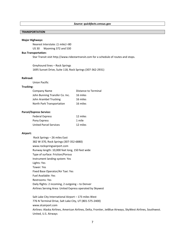## **TRANSPORTATION**

## **Major Highways:**

Nearest Interstate: (1 mile) I-80 US 30 Wyoming 372 and 530

#### **Bus Transportation:**

Star Transit visit http://www.ridestartransit.com for a schedule of routes and stops.

Greyhound lines – Rock Springs 1695 Sunset Drive, Suite 118, Rock Springs (307-362-2931)

## **Railroad:**

Union Pacific

# **Trucking:**

| <b>Company Name</b>            | <b>Distance to Terminal</b> |
|--------------------------------|-----------------------------|
| John Bunning Transfer Co. Inc. | 16 miles                    |
| John Arambel Trucking          | 16 miles                    |
| North Park Transportation      | 16 miles                    |

#### **Parcel/Express Service:**

| <b>Federal Express</b>        | 12 miles |
|-------------------------------|----------|
| Pony Express                  | 1 mile   |
| <b>United Parcel Services</b> | 12 miles |

#### **Airport:**

| Rock Springs – 26 miles East                              |
|-----------------------------------------------------------|
| 382 W-370, Rock Springs (307-352-6880)                    |
| www.rockspringsairport.com                                |
| Runway length: 10,000 feet long, 150 feet wide            |
| Type of surface: Friction/Porous                          |
| Instrument landing system: Yes                            |
| Lights: Yes                                               |
| Tower: Yes                                                |
| Fixed Base Operator/Air Taxi: Yes                         |
| <b>Fuel Available: Yes</b>                                |
| Restrooms: Yes                                            |
| Daily flights: 2 incoming, 2 outgoing – to Denver         |
| Airlines Serving Area: United Express operated by Skywest |

Salt Lake City International Airport – 173 miles West 776 N Terminal Drive, Salt Lake City, UT (801-575-2400) www.slcairport.com Airlines: Alaska Airlines, American Airlines, Delta, Frontier, JetBlue Airways, SkyWest Airlines, Southwest. United, U.S. Airways